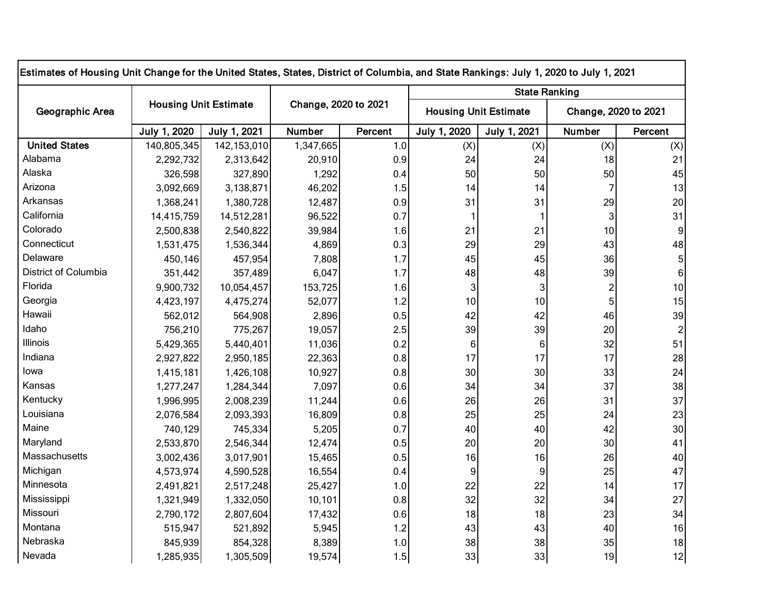| Estimates of Housing Unit Change for the United States, States, District of Columbia, and State Rankings: July 1, 2020 to July 1, 2021 |                              |              |                      |         |                              |              |                      |                |  |  |
|----------------------------------------------------------------------------------------------------------------------------------------|------------------------------|--------------|----------------------|---------|------------------------------|--------------|----------------------|----------------|--|--|
| Geographic Area                                                                                                                        | <b>Housing Unit Estimate</b> |              | Change, 2020 to 2021 |         | <b>State Ranking</b>         |              |                      |                |  |  |
|                                                                                                                                        |                              |              |                      |         | <b>Housing Unit Estimate</b> |              | Change, 2020 to 2021 |                |  |  |
|                                                                                                                                        | July 1, 2020                 | July 1, 2021 | Number               | Percent | July 1, 2020                 | July 1, 2021 | Number               | Percent        |  |  |
| <b>United States</b>                                                                                                                   | 140,805,345                  | 142,153,010  | 1,347,665            | 1.0     | (X)                          | (X)          | (X)                  | (X)            |  |  |
| Alabama                                                                                                                                | 2,292,732                    | 2,313,642    | 20,910               | 0.9     | 24                           | 24           | 18                   | 21             |  |  |
| Alaska                                                                                                                                 | 326,598                      | 327,890      | 1,292                | 0.4     | 50                           | 50           | 50                   | 45             |  |  |
| Arizona                                                                                                                                | 3,092,669                    | 3,138,871    | 46,202               | 1.5     | 14                           | 14           | $\overline{7}$       | 13             |  |  |
| Arkansas                                                                                                                               | 1,368,241                    | 1,380,728    | 12,487               | 0.9     | 31                           | 31           | 29                   | 20             |  |  |
| California                                                                                                                             | 14,415,759                   | 14,512,281   | 96,522               | 0.7     |                              | 1            | 3                    | 31             |  |  |
| Colorado                                                                                                                               | 2,500,838                    | 2,540,822    | 39,984               | 1.6     | 21                           | 21           | 10                   | $9\,$          |  |  |
| Connecticut                                                                                                                            | 1,531,475                    | 1,536,344    | 4,869                | 0.3     | 29                           | 29           | 43                   | 48             |  |  |
| Delaware                                                                                                                               | 450,146                      | 457,954      | 7,808                | 1.7     | 45                           | 45           | 36                   | 5              |  |  |
| District of Columbia                                                                                                                   | 351,442                      | 357,489      | 6,047                | 1.7     | 48                           | 48           | 39                   | $\,6$          |  |  |
| Florida                                                                                                                                | 9,900,732                    | 10,054,457   | 153,725              | 1.6     | 3                            | $\sqrt{3}$   | $\overline{c}$       | 10             |  |  |
| Georgia                                                                                                                                | 4,423,197                    | 4,475,274    | 52,077               | 1.2     | 10                           | 10           | $\overline{5}$       | 15             |  |  |
| Hawaii                                                                                                                                 | 562,012                      | 564,908      | 2,896                | 0.5     | 42                           | 42           | 46                   | 39             |  |  |
| Idaho                                                                                                                                  | 756,210                      | 775,267      | 19,057               | 2.5     | 39                           | 39           | 20                   | $\overline{c}$ |  |  |
| Illinois                                                                                                                               | 5,429,365                    | 5,440,401    | 11,036               | 0.2     | 6                            | 6            | 32                   | 51             |  |  |
| Indiana                                                                                                                                | 2,927,822                    | 2,950,185    | 22,363               | 0.8     | 17                           | 17           | 17                   | 28             |  |  |
| lowa                                                                                                                                   | 1,415,181                    | 1,426,108    | 10,927               | 0.8     | 30                           | 30           | 33                   | 24             |  |  |
| Kansas                                                                                                                                 | 1,277,247                    | 1,284,344    | 7,097                | 0.6     | 34                           | 34           | 37                   | 38             |  |  |
| Kentucky                                                                                                                               | 1,996,995                    | 2,008,239    | 11,244               | 0.6     | 26                           | 26           | 31                   | 37             |  |  |
| Louisiana                                                                                                                              | 2,076,584                    | 2,093,393    | 16,809               | 0.8     | 25                           | 25           | 24                   | 23             |  |  |
| Maine                                                                                                                                  | 740,129                      | 745,334      | 5,205                | 0.7     | 40                           | 40           | 42                   | 30             |  |  |
| Maryland                                                                                                                               | 2,533,870                    | 2,546,344    | 12,474               | 0.5     | 20                           | 20           | 30                   | 41             |  |  |
| Massachusetts                                                                                                                          | 3,002,436                    | 3,017,901    | 15,465               | 0.5     | 16                           | 16           | 26                   | 40             |  |  |
| Michigan                                                                                                                               | 4,573,974                    | 4,590,528    | 16,554               | 0.4     | 9                            | 9            | 25                   | 47             |  |  |
| Minnesota                                                                                                                              | 2,491,821                    | 2,517,248    | 25,427               | 1.0     | 22                           | 22           | 14                   | 17             |  |  |
| Mississippi                                                                                                                            | 1,321,949                    | 1,332,050    | 10,101               | 0.8     | 32                           | 32           | 34                   | 27             |  |  |
| Missouri                                                                                                                               | 2,790,172                    | 2,807,604    | 17,432               | 0.6     | 18                           | 18           | 23                   | 34             |  |  |
| Montana                                                                                                                                | 515,947                      | 521,892      | 5,945                | 1.2     | 43                           | 43           | 40                   | 16             |  |  |
| Nebraska                                                                                                                               | 845,939                      | 854,328      | 8,389                | 1.0     | 38                           | 38           | 35                   | 18             |  |  |
| Nevada                                                                                                                                 | 1,285,935                    | 1,305,509    | 19,574               | 1.5     | 33                           | 33           | 19                   | 12             |  |  |